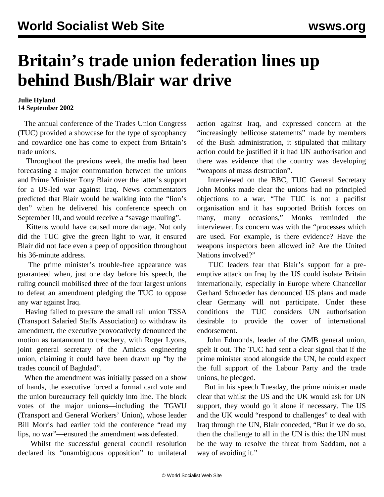## **Britain's trade union federation lines up behind Bush/Blair war drive**

## **Julie Hyland 14 September 2002**

 The annual conference of the Trades Union Congress (TUC) provided a showcase for the type of sycophancy and cowardice one has come to expect from Britain's trade unions.

 Throughout the previous week, the media had been forecasting a major confrontation between the unions and Prime Minister Tony Blair over the latter's support for a US-led war against Iraq. News commentators predicted that Blair would be walking into the "lion's den" when he delivered his conference speech on September 10, and would receive a "savage mauling".

 Kittens would have caused more damage. Not only did the TUC give the green light to war, it ensured Blair did not face even a peep of opposition throughout his 36-minute address.

 The prime minister's trouble-free appearance was guaranteed when, just one day before his speech, the ruling council mobilised three of the four largest unions to defeat an amendment pledging the TUC to oppose any war against Iraq.

 Having failed to pressure the small rail union TSSA (Transport Salaried Staffs Association) to withdraw its amendment, the executive provocatively denounced the motion as tantamount to treachery, with Roger Lyons, joint general secretary of the Amicus engineering union, claiming it could have been drawn up "by the trades council of Baghdad".

 When the amendment was initially passed on a show of hands, the executive forced a formal card vote and the union bureaucracy fell quickly into line. The block votes of the major unions—including the TGWU (Transport and General Workers' Union), whose leader Bill Morris had earlier told the conference "read my lips, no war"—ensured the amendment was defeated.

 Whilst the successful general council resolution declared its "unambiguous opposition" to unilateral action against Iraq, and expressed concern at the "increasingly bellicose statements" made by members of the Bush administration, it stipulated that military action could be justified if it had UN authorisation and there was evidence that the country was developing "weapons of mass destruction".

 Interviewed on the BBC, TUC General Secretary John Monks made clear the unions had no principled objections to a war. "The TUC is not a pacifist organisation and it has supported British forces on many, many occasions," Monks reminded the interviewer. Its concern was with the "processes which are used. For example, is there evidence? Have the weapons inspectors been allowed in? Are the United Nations involved?"

 TUC leaders fear that Blair's support for a preemptive attack on Iraq by the US could isolate Britain internationally, especially in Europe where Chancellor Gerhard Schroeder has denounced US plans and made clear Germany will not participate. Under these conditions the TUC considers UN authorisation desirable to provide the cover of international endorsement.

 John Edmonds, leader of the GMB general union, spelt it out. The TUC had sent a clear signal that if the prime minister stood alongside the UN, he could expect the full support of the Labour Party and the trade unions, he pledged.

 But in his speech Tuesday, the prime minister made clear that whilst the US and the UK would ask for UN support, they would go it alone if necessary. The US and the UK would "respond to challenges" to deal with Iraq through the UN, Blair conceded, "But if we do so, then the challenge to all in the UN is this: the UN must be the way to resolve the threat from Saddam, not a way of avoiding it."